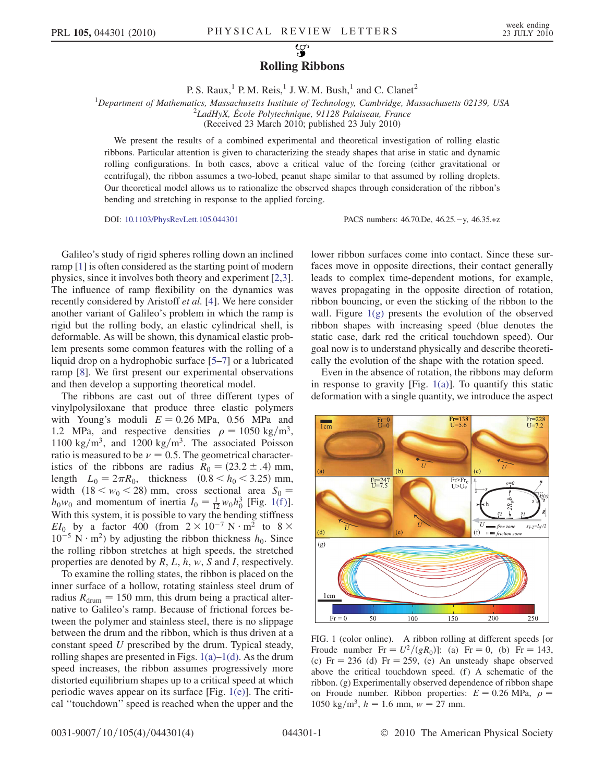## လ္စာ Rolling Ribbons

P. S. Raux,<sup>1</sup> P. M. Reis,<sup>1</sup> J. W. M. Bush,<sup>1</sup> and C. Clanet<sup>2</sup>

<sup>1</sup>Department of Mathematics, Massachusetts Institute of Technology, Cambridge, Massachusetts 02139, USA  $^{2}$ LadHyX École Polytechnique, 01138 Palaiseau, France  $2$ LadHyX, École Polytechnique, 91128 Palaiseau, France

(Received 23 March 2010; published 23 July 2010)

We present the results of a combined experimental and theoretical investigation of rolling elastic ribbons. Particular attention is given to characterizing the steady shapes that arise in static and dynamic rolling configurations. In both cases, above a critical value of the forcing (either gravitational or centrifugal), the ribbon assumes a two-lobed, peanut shape similar to that assumed by rolling droplets. Our theoretical model allows us to rationalize the observed shapes through consideration of the ribbon's bending and stretching in response to the applied forcing.

DOI: [10.1103/PhysRevLett.105.044301](http://dx.doi.org/10.1103/PhysRevLett.105.044301) PACS numbers: 46.70.De, 46.25.-y, 46.35.+z

Galileo's study of rigid spheres rolling down an inclined ramp [\[1](#page-3-0)] is often considered as the starting point of modern physics, since it involves both theory and experiment [[2](#page-3-1),[3\]](#page-3-2). The influence of ramp flexibility on the dynamics was recently considered by Aristoff et al. [\[4](#page-3-3)]. We here consider another variant of Galileo's problem in which the ramp is rigid but the rolling body, an elastic cylindrical shell, is deformable. As will be shown, this dynamical elastic problem presents some common features with the rolling of a liquid drop on a hydrophobic surface [\[5](#page-3-4)–[7\]](#page-3-5) or a lubricated ramp [[8](#page-3-6)]. We first present our experimental observations and then develop a supporting theoretical model.

The ribbons are cast out of three different types of vinylpolysiloxane that produce three elastic polymers with Young's moduli  $E = 0.26$  MPa, 0.56 MPa and 1.2 MPa, and respective densities  $\rho = 1050 \text{ kg/m}^3$ , 1100 kg/m<sup>3</sup>, and 1200 kg/m<sup>3</sup>. The associated Poisson ratio is measured to be  $\nu = 0.5$ . The geometrical characteristics of the ribbons are radius  $R_0 = (23.2 \pm .4)$  mm, length  $L_0 = 2\pi R_0$ , thickness  $(0.8 < h_0 < 3.25)$  mm, width  $(18 < w_0 < 28)$  mm, cross sectional area  $S_0 =$  $h_0w_0$  and momentum of inertia  $I_0 = \frac{1}{12}w_0h_0^3$  [Fig. 1(f)]. With this system, it is possible to vary the bending stiffness  $EI_0$  by a factor 400 (from  $2 \times 10^{-7}$  N  $\cdot$  m<sup>2</sup> to 8  $\times$  $10^{-5}$  N · m<sup>2</sup>) by adjusting the ribbon thickness  $h_0$ . Since the rolling ribbon stretches at high speeds, the stretched properties are denoted by  $R, L, h, w, S$  and  $I$ , respectively.

To examine the rolling states, the ribbon is placed on the inner surface of a hollow, rotating stainless steel drum of radius  $R_{\text{drum}} = 150$  mm, this drum being a practical alternative to Galileo's ramp. Because of frictional forces between the polymer and stainless steel, there is no slippage between the drum and the ribbon, which is thus driven at a constant speed U prescribed by the drum. Typical steady, rolling shapes are presented in Figs.  $1(a)$ – $1(d)$ . As the drum speed increases, the ribbon assumes progressively more distorted equilibrium shapes up to a critical speed at which periodic waves appear on its surface [Fig. [1\(e\)](#page-0-0)]. The critical ''touchdown'' speed is reached when the upper and the lower ribbon surfaces come into contact. Since these surfaces move in opposite directions, their contact generally leads to complex time-dependent motions, for example, waves propagating in the opposite direction of rotation, ribbon bouncing, or even the sticking of the ribbon to the wall. Figure  $1(g)$  presents the evolution of the observed ribbon shapes with increasing speed (blue denotes the static case, dark red the critical touchdown speed). Our goal now is to understand physically and describe theoretically the evolution of the shape with the rotation speed.

Even in the absence of rotation, the ribbons may deform in response to gravity [Fig.  $1(a)$ ]. To quantify this static deformation with a single quantity, we introduce the aspect

<span id="page-0-1"></span>

<span id="page-0-0"></span>FIG. 1 (color online). A ribbon rolling at different speeds [or Froude number  $Fr = U^2/(gR_0)$ : (a)  $Fr = 0$ , (b)  $Fr = 143$ , (c)  $Fr = 236$  (d)  $Fr = 259$ , (e) An unsteady shape observed above the critical touchdown speed.  $(f)$  A schematic of the ribbon. (g) Experimentally observed dependence of ribbon shape on Froude number. Ribbon properties:  $E = 0.26 \text{ MPa}$ ,  $\rho =$ 1050 kg/m<sup>3</sup>,  $h = 1.6$  mm,  $w = 27$  mm.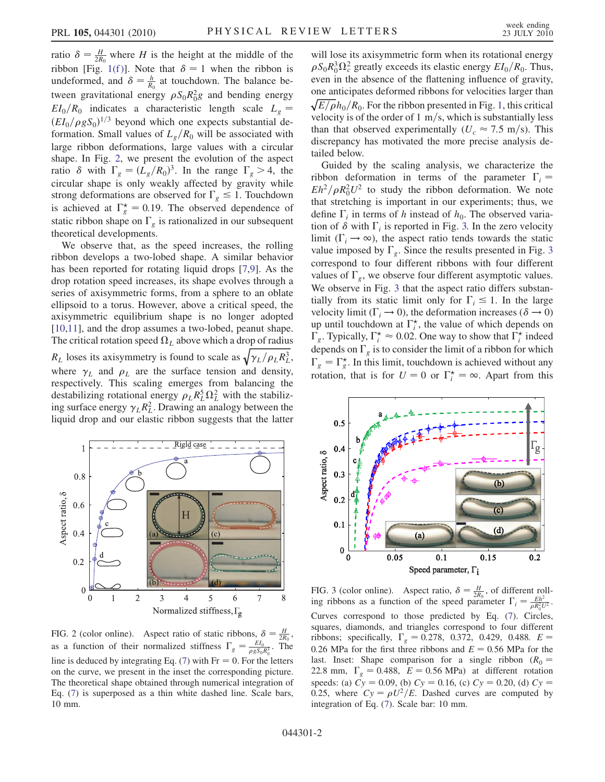ratio  $\delta = \frac{H}{2R_0}$  where H is the height at the middle of the ribbon [Fig. 1(f)]. Note that  $\delta = 1$  when the ribbon is undeformed, and  $\delta = \frac{h}{R_0}$  at touchdown. The balance between gravitational energy  $\rho S_0 R_0^2 g$  and bending energy  $EI_0/R_0$  indicates a characteristic length scale  $L_g$  =  $(EI_0/\rho gS_0)^{1/3}$  beyond which one expects substantial deformation. Small values of  $L_g/R_0$  will be associated with large ribbon deformations, large values with a circular shape. In Fig. [2,](#page-1-0) we present the evolution of the aspect ratio  $\delta$  with  $\Gamma_g = (L_g/R_0)^3$ . In the range  $\Gamma_g > 4$ , the circular shape is only weakly affected by gravity while strong deformations are observed for  $\Gamma_{g} \leq 1$ . Touchdown is achieved at  $\Gamma_g^* = 0.19$ . The observed dependence of static ribbon shape on  $\Gamma_g$  is rationalized in our subsequent theoretical developments.

We observe that, as the speed increases, the rolling ribbon develops a two-lobed shape. A similar behavior has been reported for rotating liquid drops [\[7,](#page-3-5)[9](#page-3-7)]. As the drop rotation speed increases, its shape evolves through a series of axisymmetric forms, from a sphere to an oblate ellipsoid to a torus. However, above a critical speed, the axisymmetric equilibrium shape is no longer adopted [\[10](#page-3-8)[,11\]](#page-3-9), and the drop assumes a two-lobed, peanut shape. The critical rotation speed  $\Omega_L$  above which a drop of radius  $R_L$  loses its axisymmetry is found to scale as  $\sqrt{\gamma_L/\rho_L R_L^3}$ , where  $\gamma_L$  and  $\rho_L$  are the surface tension and density, respectively. This scaling emerges from balancing the destabilizing rotational energy  $\rho_L R_L^5 \Omega_L^2$  with the stabilizing surface energy  $\gamma_L R_L^2$ . Drawing an analogy between the liquid drop and our elastic ribbon suggests that the latter

<span id="page-1-0"></span>

FIG. 2 (color online). Aspect ratio of static ribbons,  $\delta = \frac{H}{2R_0}$ , as a function of their normalized stiffness  $\Gamma_g = \frac{EI_0}{\rho g S_0 R_0^3}$ . The line is deduced by integrating Eq. [\(7](#page-2-0)) with  $Fr = 0$ . For the letters on the curve, we present in the inset the corresponding picture. The theoretical shape obtained through numerical integration of Eq. ([7\)](#page-2-0) is superposed as a thin white dashed line. Scale bars, 10 mm.

will lose its axisymmetric form when its rotational energy  $\rho S_0 R_0^3 \Omega_c^2$  greatly exceeds its elastic energy  $E I_0/R_0$ . Thus, even in the absence of the flattening influence of gravity, one anticipates deformed ribbons for velocities larger than  $\sqrt{E/\rho}h_0/R_0$ . For the ribbon presented in Fig. [1,](#page-0-1) this critical velocity is of the order of 1  $\text{m/s}$ , which is substantially less than that observed experimentally ( $U_c \approx 7.5$  m/s). This discrepancy has motivated the more precise analysis detailed below.

Guided by the scaling analysis, we characterize the ribbon deformation in terms of the parameter  $\Gamma_i$  =  $Eh^2/\rho R_0^2 U^2$  to study the ribbon deformation. We note that stretching is important in our experiments; thus, we define  $\Gamma_i$  in terms of h instead of  $h_0$ . The observed variation of  $\delta$  with  $\Gamma_i$  is reported in Fig. [3.](#page-1-1) In the zero velocity limit ( $\Gamma_i \rightarrow \infty$ ), the aspect ratio tends towards the static value imposed by  $\Gamma_{g}$ . Since the results presented in Fig. [3](#page-1-1) correspond to four different ribbons with four different values of  $\Gamma_g$ , we observe four different asymptotic values. We observe in Fig. [3](#page-1-1) that the aspect ratio differs substantially from its static limit only for  $\Gamma_i \leq 1$ . In the large velocity limit ( $\Gamma_i \rightarrow 0$ ), the deformation increases ( $\delta \rightarrow 0$ ) up until touchdown at  $\Gamma_i^*$ , the value of which depends on  $\Gamma_g$ . Typically,  $\Gamma_i^* \approx 0.02$ . One way to show that  $\Gamma_i^*$  indeed depends on  $\Gamma_g$  is to consider the limit of a ribbon for which  $\Gamma_g = \Gamma_g^*$ . In this limit, touchdown is achieved without any rotation, that is for  $U = 0$  or  $\Gamma_i^* = \infty$ . Apart from this

<span id="page-1-1"></span>

FIG. 3 (color online). Aspect ratio,  $\delta = \frac{H}{2R_0}$ , of different rolling ribbons as a function of the speed parameter  $\Gamma_i = \frac{E h^2}{\rho R_0^2 U^2}$ . Curves correspond to those predicted by Eq. [\(7](#page-2-0)). Circles, squares, diamonds, and triangles correspond to four different ribbons; specifically,  $\Gamma_{g} = 0.278, 0.372, 0.429, 0.488$ .  $E =$ 0.26 MPa for the first three ribbons and  $E = 0.56$  MPa for the last. Inset: Shape comparison for a single ribbon ( $R_0$  = 22.8 mm,  $\Gamma_g = 0.488$ ,  $E = 0.56 \text{ MPa}$  at different rotation speeds: (a)  $Cy = 0.09$ , (b)  $Cy = 0.16$ , (c)  $Cy = 0.20$ , (d)  $Cy =$ 0.25, where  $Cy = \rho U^2/E$ . Dashed curves are computed by integration of Eq. [\(7\)](#page-2-0). Scale bar: 10 mm.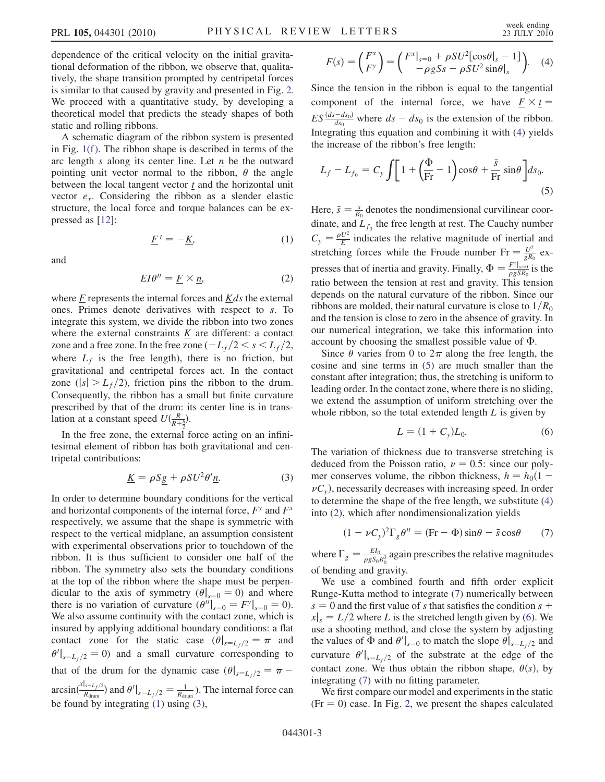dependence of the critical velocity on the initial gravitational deformation of the ribbon, we observe that, qualitatively, the shape transition prompted by centripetal forces is similar to that caused by gravity and presented in Fig. [2.](#page-1-0) We proceed with a quantitative study, by developing a theoretical model that predicts the steady shapes of both static and rolling ribbons.

A schematic diagram of the ribbon system is presented in Fig.  $1(f)$ . The ribbon shape is described in terms of the arc length s along its center line. Let  $n$  be the outward pointing unit vector normal to the ribbon,  $\theta$  the angle between the local tangent vector  $\underline{t}$  and the horizontal unit vector  $e_x$ . Considering the ribbon as a slender elastic structure, the local force and torque balances can be expressed as [[12](#page-3-10)]:

 $F' = -K,$  (1)

<span id="page-2-5"></span><span id="page-2-1"></span>and

$$
EI\theta'' = \underline{F} \times \underline{n},\tag{2}
$$

where  $\overline{F}$  represents the internal forces and  $\overline{K}ds$  the external ones. Primes denote derivatives with respect to s. To integrate this system, we divide the ribbon into two zones where the external constraints  $K$  are different: a contact zone and a free zone. In the free zone  $\left(-L_f/2 \lt s \lt L_f/2,$ where  $L_f$  is the free length), there is no friction, but gravitational and centripetal forces act. In the contact zone ( $|s| > L_f/2$ ), friction pins the ribbon to the drum. Consequently, the ribbon has a small but finite curvature prescribed by that of the drum: its center line is in translation at a constant speed  $U(\frac{R}{R+\frac{h}{2}})$ .

<span id="page-2-2"></span>In the free zone, the external force acting on an infinitesimal element of ribbon has both gravitational and centripetal contributions:

$$
\underline{K} = \rho S \underline{g} + \rho S U^2 \theta' \underline{n}.
$$
 (3)

In order to determine boundary conditions for the vertical and horizontal components of the internal force,  $F<sup>y</sup>$  and  $F<sup>x</sup>$ respectively, we assume that the shape is symmetric with respect to the vertical midplane, an assumption consistent with experimental observations prior to touchdown of the ribbon. It is thus sufficient to consider one half of the ribbon. The symmetry also sets the boundary conditions at the top of the ribbon where the shape must be perpendicular to the axis of symmetry  $(\theta|_{s=0} = 0)$  and where there is no variation of curvature  $(\theta''|_{s=0} = F^y|_{s=0} = 0)$ . We also assume continuity with the contact zone, which is insured by applying additional boundary conditions: a flat contact zone for the static case  $(\theta|_{s=L_f/2}=\pi$  and  $\theta' \big|_{s=L_f/2} = 0$  and a small curvature corresponding to that of the drum for the dynamic case  $(\theta|_{s=L_f/2}=\pi$ arcsin( $\frac{x|_{s=L_f/2}}{R_{\text{drum}}}$ ) and  $\theta'|_{s=L_f/2}=\frac{1}{R_{\text{drum}}}$ ). The internal force can be found by integrating ([1\)](#page-2-1) using ([3\)](#page-2-2),

<span id="page-2-3"></span>
$$
\underline{F}(s) = \begin{pmatrix} F^x \\ F^y \end{pmatrix} = \begin{pmatrix} F^x|_{s=0} + \rho SU^2[\cos\theta|_s - 1] \\ -\rho g S s - \rho SU^2 \sin\theta|_s \end{pmatrix}.
$$
 (4)

Since the tension in the ribbon is equal to the tangential component of the internal force, we have  $F \times t =$  $ES \frac{(ds - ds_0)}{ds_0}$  where  $ds - ds_0$  is the extension of the ribbon. Integrating this equation and combining it with [\(4](#page-2-3)) yields the increase of the ribbon's free length:

<span id="page-2-4"></span>
$$
L_f - L_{f_0} = C_y \int \left[ 1 + \left( \frac{\Phi}{\text{Fr}} - 1 \right) \cos \theta + \frac{\bar{s}}{\text{Fr}} \sin \theta \right] ds_0.
$$
\n(5)

Here,  $\bar{s} = \frac{s}{R_0}$  denotes the nondimensional curvilinear coordinate, and  $L_{f_0}$  the free length at rest. The Cauchy number  $C_y = \frac{\rho U^2}{E}$  indicates the relative magnitude of inertial and stretching forces while the Froude number  $Fr = \frac{U^2}{gR_0}$  expresses that of inertia and gravity. Finally,  $\Phi = \frac{F^x|_{s=0}}{\rho g S R_0}$  is the ratio between the tension at rest and gravity. This tension depends on the natural curvature of the ribbon. Since our ribbons are molded, their natural curvature is close to  $1/R<sub>0</sub>$ and the tension is close to zero in the absence of gravity. In our numerical integration, we take this information into account by choosing the smallest possible value of  $\Phi$ .

Since  $\theta$  varies from 0 to  $2\pi$  along the free length, the cosine and sine terms in [\(5](#page-2-4)) are much smaller than the constant after integration; thus, the stretching is uniform to leading order. In the contact zone, where there is no sliding, we extend the assumption of uniform stretching over the whole ribbon, so the total extended length  $L$  is given by

$$
L = (1 + C_y)L_0.
$$
 (6)

<span id="page-2-6"></span>The variation of thickness due to transverse stretching is deduced from the Poisson ratio,  $\nu = 0.5$ : since our polymer conserves volume, the ribbon thickness,  $h = h_0(1 \nu C<sub>v</sub>$ ), necessarily decreases with increasing speed. In order to determine the shape of the free length, we substitute [\(4\)](#page-2-3) into ([2](#page-2-5)), which after nondimensionalization yields

<span id="page-2-0"></span>
$$
(1 - \nu C_y)^2 \Gamma_g \theta'' = (\text{Fr} - \Phi) \sin \theta - \bar{s} \cos \theta \qquad (7)
$$

where  $\Gamma_g = \frac{E I_0}{\rho g S_0 R_0^3}$  again prescribes the relative magnitudes of bending and gravity.

We use a combined fourth and fifth order explicit Runge-Kutta method to integrate [\(7\)](#page-2-0) numerically between  $s = 0$  and the first value of s that satisfies the condition s +  $|x|_s = L/2$  where L is the stretched length given by ([6\)](#page-2-6). We use a shooting method, and close the system by adjusting the values of  $\Phi$  and  $\theta'|_{s=0}$  to match the slope  $\theta|_{s=L_f/2}$  and curvature  $\theta' \big|_{s=L_f/2}$  of the substrate at the edge of the contact zone. We thus obtain the ribbon shape,  $\theta(s)$ , by integrating ([7](#page-2-0)) with no fitting parameter.

We first compare our model and experiments in the static  $(Fr = 0)$  case. In Fig. [2](#page-1-0), we present the shapes calculated